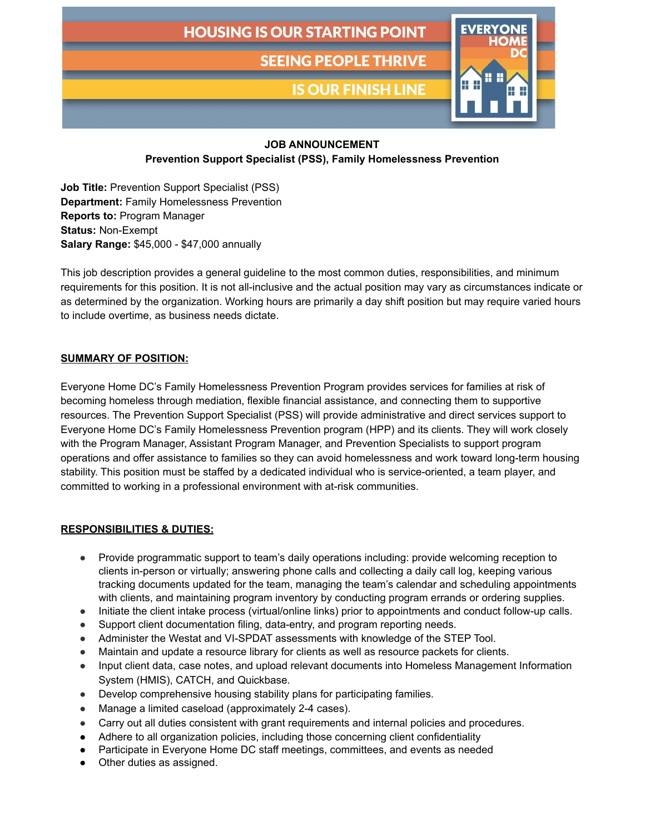# **HOUSING IS OUR STARTING POINT**

**SEEING PEOPLE THRIVE** 

**IS OUR FINISH LINE** 



### **JOB ANNOUNCEMENT**

**Prevention Support Specialist (PSS), Family Homelessness Prevention**

**Job Title:** Prevention Support Specialist (PSS) **Department:** Family Homelessness Prevention **Reports to:** Program Manager **Status:** Non-Exempt **Salary Range:** \$45,000 - \$47,000 annually

This job description provides a general guideline to the most common duties, responsibilities, and minimum requirements for this position. It is not all-inclusive and the actual position may vary as circumstances indicate or as determined by the organization. Working hours are primarily a day shift position but may require varied hours to include overtime, as business needs dictate.

## **SUMMARY OF POSITION:**

Everyone Home DC's Family Homelessness Prevention Program provides services for families at risk of becoming homeless through mediation, flexible financial assistance, and connecting them to supportive resources. The Prevention Support Specialist (PSS) will provide administrative and direct services support to Everyone Home DC's Family Homelessness Prevention program (HPP) and its clients. They will work closely with the Program Manager, Assistant Program Manager, and Prevention Specialists to support program operations and offer assistance to families so they can avoid homelessness and work toward long-term housing stability. This position must be staffed by a dedicated individual who is service-oriented, a team player, and committed to working in a professional environment with at-risk communities.

#### **RESPONSIBILITIES & DUTIES:**

- Provide programmatic support to team's daily operations including: provide welcoming reception to clients in-person or virtually; answering phone calls and collecting a daily call log, keeping various tracking documents updated for the team, managing the team's calendar and scheduling appointments with clients, and maintaining program inventory by conducting program errands or ordering supplies.
- Initiate the client intake process (virtual/online links) prior to appointments and conduct follow-up calls.
- Support client documentation filing, data-entry, and program reporting needs.
- Administer the Westat and VI-SPDAT assessments with knowledge of the STEP Tool.
- Maintain and update a resource library for clients as well as resource packets for clients.
- Input client data, case notes, and upload relevant documents into Homeless Management Information System (HMIS), CATCH, and Quickbase.
- Develop comprehensive housing stability plans for participating families.
- Manage a limited caseload (approximately 2-4 cases).
- Carry out all duties consistent with grant requirements and internal policies and procedures.
- Adhere to all organization policies, including those concerning client confidentiality
- Participate in Everyone Home DC staff meetings, committees, and events as needed
- Other duties as assigned.